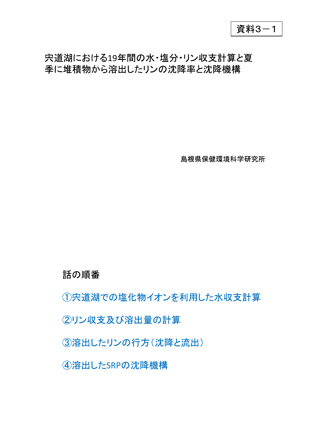資料3-1

### 宍道湖における19年間の水·塩分·リン収支計算と夏 季に堆積物から溶出したリンの沈降率と沈降機構

島根県保健環境科学研究所

### 話の順番

①宍道湖での塩化物イオンを利用した水収支計算

# 2リン収支及び溶出量の計算

3溶出したリンの行方(沈降と流出)

4溶出したSRPの沈降機構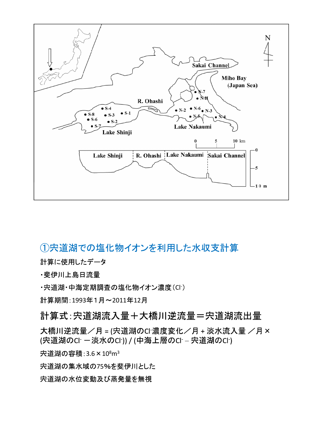

### ①宍道湖での塩化物イオンを利用した水収支計算

計算に使用したデータ

•斐伊川上島日流量

Cl-

1993年1月~2011年12

#### 計算式: 宍道湖流入量+大橋川逆流量=宍道湖流出量

大橋川逆流量/月 = (宍道湖のCI 濃度変化/月 + 淡水流入量 /月× (宍道湖のCl ー淡水のCl )) / (中海上層のCl - 宍道湖のCl )

 $3.6\times10^8$ m $^3$ 

75

宍道湖の水位変動及び蒸発量を無視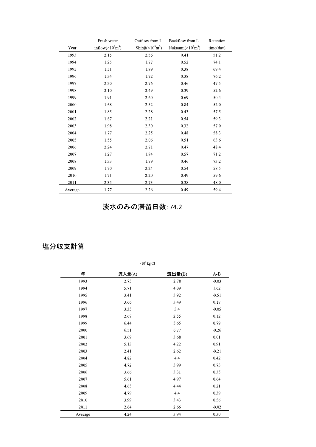|         | Fresh water                            | Outflow from L.                   | Backflow from L.                        | Retention |
|---------|----------------------------------------|-----------------------------------|-----------------------------------------|-----------|
| Year    | inflow( $\times 10^9$ m <sup>3</sup> ) | Shinji $(\times 10^9 \text{m}^3)$ | Nakaumi( $\times 10^9$ m <sup>3</sup> ) | time/day) |
| 1993    | 2.15                                   | 2.56                              | 0.41                                    | 51.2      |
| 1994    | 1.25                                   | 1.77                              | 0.52                                    | 74.1      |
| 1995    | 1.51                                   | 1.89                              | 0.38                                    | 69.4      |
| 1996    | 1.34                                   | 1.72                              | 0.38                                    | 76.2      |
| 1997    | 2.30                                   | 2.76                              | 0.46                                    | 47.5      |
| 1998    | 2.10                                   | 2.49                              | 0.39                                    | 52.6      |
| 1999    | 1.91                                   | 2.60                              | 0.69                                    | 50.4      |
| 2000    | 1.68                                   | 2.52                              | 0.84                                    | 52.0      |
| 2001    | 1.85                                   | 2.28                              | 0.43                                    | 57.5      |
| 2002    | 1.67                                   | 2.21                              | 0.54                                    | 59.3      |
| 2003    | 1.98                                   | 2.30                              | 0.32                                    | 57.0      |
| 2004    | 1.77                                   | 2.25                              | 0.48                                    | 58.3      |
| 2005    | 1.55                                   | 2.06                              | 0.51                                    | 63.6      |
| 2006    | 2.24                                   | 2.71                              | 0.47                                    | 48.4      |
| 2007    | 1.27                                   | 1.84                              | 0.57                                    | 71.2      |
| 2008    | 1.33                                   | 1.79                              | 0.46                                    | 73.2      |
| 2009    | 1.70                                   | 2.24                              | 0.54                                    | 58.5      |
| 2010    | 1.71                                   | 2.20                              | 0.49                                    | 59.6      |
| 2011    | 2.35                                   | 2.73                              | 0.38                                    | 48.0      |
| Average | 1.77                                   | 2.26                              | 0.49                                    | 59.4      |

### 淡水のみの滞留日数: 74.2

#### 塩分収支計算

| 年       | 流入量(A) | 流出量(B) | $A - B$ |
|---------|--------|--------|---------|
| 1993    | 2.75   | 2.78   | $-0.03$ |
| 1994    | 5.71   | 4.09   | 1.62    |
| 1995    | 3.41   | 3.92   | $-0.51$ |
| 1996    | 3.66   | 3.49   | 0.17    |
| 1997    | 3.35   | 3.4    | $-0.05$ |
| 1998    | 2.67   | 2.55   | 0.12    |
| 1999    | 6.44   | 5.65   | 0.79    |
| 2000    | 6.51   | 6.77   | $-0.26$ |
| 2001    | 3.69   | 3.68   | 0.01    |
| 2002    | 5.13   | 4.22   | 0.91    |
| 2003    | 2.41   | 2.62   | $-0.21$ |
| 2004    | 4.82   | 4.4    | 0.42    |
| 2005    | 4.72   | 3.99   | 0.73    |
| 2006    | 3.66   | 3.31   | 0.35    |
| 2007    | 5.61   | 4.97   | 0.64    |
| 2008    | 4.65   | 4.44   | 0.21    |
| 2009    | 4.79   | 4.4    | 0.39    |
| 2010    | 3.99   | 3.43   | 0.56    |
| 2011    | 2.64   | 2.66   | $-0.02$ |
| Average | 4.24   | 3.94   | 0.30    |

 $\times 10^6$  kg Cl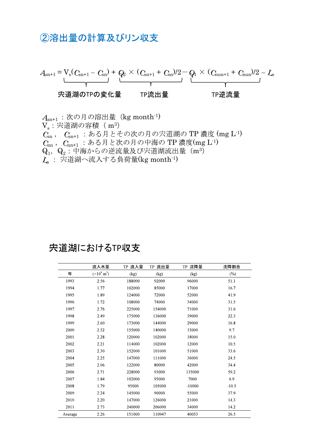### 2溶出量の計算及びリン収支



 $\mathcal{A}_{\text{sn}^+1}$ :次の月の溶出量( $\text{kg}$  month<sup>-1</sup>)  $\rm V_s$ :宍道湖の容積( m $^3$  $C_{\text{sn}}$ ,  $C_{\text{sn+1}}$  : ある月とその次の月の宍道湖のTP 濃度 (mg L<sup>-1)</sup>  $C_{nn}$ ,  $C_{nn+1}$ : ある月と次の月の中海のTP 濃度(mg L<sup>-1)</sup>  $\mathrm{Q}_{1}$ ,  $\mathrm{Q}_{2}$ :中海からの逆流量及び宍道湖流出量(m<sup>3</sup>  $\mathcal{L}_\mathbf{s}$  : 宍道湖へ流入する負荷量( $\text{kg}$  month $^{\text{-}1)}$ 

### 宍道湖におけるTP収支

|         | 流入水量                          | TP 流入量<br>TP 流出量 |        | TP 沈降量   | 沈降割合    |
|---------|-------------------------------|------------------|--------|----------|---------|
| 年       | $(\times 10^{9} \text{ m}^3)$ | (kg)             | (kg)   | (kg)     | $(\%)$  |
| 1993    | 2.56                          | 188000           | 92000  | 96000    | 51.1    |
| 1994    | 1.77                          | 102000           | 85000  | 17000    | 16.7    |
| 1995    | 1.89                          | 124000           | 72000  | 52000    | 41.9    |
| 1996    | 1.72                          | 108000           | 74000  | 34000    | 31.5    |
| 1997    | 2.76                          | 225000           | 154000 | 71000    | 31.6    |
| 1998    | 2.49                          | 175000           | 136000 | 39000    | 22.3    |
| 1999    | 2.60                          | 173000           | 144000 | 29000    | 16.8    |
| 2000    | 2.52                          | 155000           | 140000 | 15000    | 9.7     |
| 2001    | 2.28                          | 120000           | 102000 | 18000    | 15.0    |
| 2002    | 2.21                          | 114000           | 102000 | 12000    | 10.5    |
| 2003    | 2.30                          | 152000           | 101000 | 51000    | 33.6    |
| 2004    | 2.25                          | 147000           | 111000 | 36000    | 24.5    |
| 2005    | 2.06                          | 122000           | 80000  | 42000    | 34.4    |
| 2006    | 2.71                          | 228000           | 93000  | 135000   | 59.2    |
| 2007    | 1.84                          | 102000           | 95000  | 7000     | 6.9     |
| 2008    | 1.79                          | 95000            | 105000 | $-10000$ | $-10.5$ |
| 2009    | 2.24                          | 145000           | 90000  | 55000    | 37.9    |
| 2010    | 2.20                          | 147000           | 126000 | 21000    | 14.3    |
| 2011    | 2.73                          | 240000           | 206000 | 34000    | 14.2    |
| Average | 2.26                          | 151000           | 110947 | 40053    | 26.5    |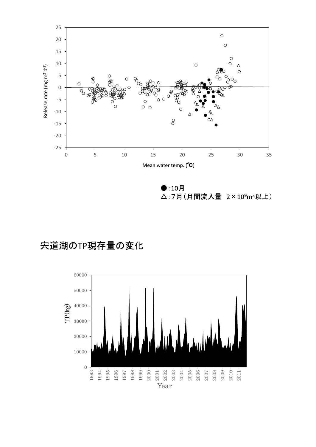

 $\bullet:10\,\mathrm{F}$ △:7月(月間流入量 2×109m3以上)

# 宍道湖のTP現存量の変化

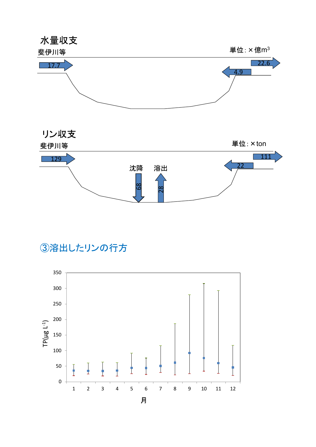



3溶出したリンの行方

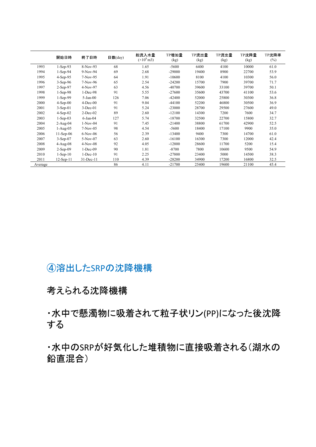|         | 開始日時            | 終了日時           | 日数(day) | 総流入水量<br>$(\times 10^8 \,\rm{m}3)$ | TP増加量<br>(kg) | TP流出量<br>(kg) | TP流出量<br>(kg) | TP沈降量<br>(kg) | TP沈降率<br>$(\%)$ |
|---------|-----------------|----------------|---------|------------------------------------|---------------|---------------|---------------|---------------|-----------------|
| 1993    | $1-Sep-93$      | 8-Nov-93       | 68      | 1.65                               | $-5600$       | 6400          | 4100          | 10000         | 61.0            |
| 1994    | $1-Sep-94$      | 9-Nov-94       | 69      | 2.68                               | $-29000$      | 19400         | 8900          | 22700         | 53.9            |
| 1995    | $4-Sep-95$      | 7-Nov-95       | 64      | 1.91                               | $-10600$      | 8100          | 4100          | 10300         | 56.0            |
| 1996    | $3-Sep-96$      | 7-Nov-96       | 65      | 2.54                               | $-24200$      | 15700         | 7900          | 39700         | 71.7            |
| 1997    | $2-Sep-97$      | 4-Nov-97       | 63      | 4.56                               | $-40700$      | 39600         | 33100         | 39700         | 50.1            |
| 1998    | $1-Sep-98$      | $1 - Dec-98$   | 91      | 5.55                               | $-27600$      | 35600         | 43700         | 41100         | 53.6            |
| 1999    | $1-Sep-99$      | $5-Jan-00$     | 126     | 7.06                               | $-42400$      | 52000         | 25800         | 30300         | 36.8            |
| 2000    | $4-Sep-00$      | $4$ -Dec-00    | 91      | 9.04                               | $-44100$      | 52200         | 46800         | 30500         | 36.9            |
| 2001    | $3-Sep-01$      | $3-Dec-01$     | 91      | 5.24                               | $-23000$      | 28700         | 29500         | 27600         | 49.0            |
| 2002    | $4-Sep-02$      | $2-Dec-02$     | 89      | 2.60                               | $-12100$      | 14300         | 7200          | 7600          | 34.7            |
| 2003    | $1-Sep-03$      | $6$ -Jan- $04$ | 127     | 5.74                               | $-18700$      | 32500         | 22700         | 15800         | 32.7            |
| 2004    | $2-Aug-04$      | $1-Nov-04$     | 91      | 7.45                               | $-21400$      | 38800         | 61700         | 42900         | 52.5            |
| 2005    | $1-Aug-05$      | $7-Nov-05$     | 98      | 4.54                               | $-5600$       | 18400         | 17100         | 9900          | 35.0            |
| 2006    | $11-Sep-06$     | $6-Nov-06$     | 56      | 2.39                               | $-13400$      | 9400          | 7300          | 14700         | 61.0            |
| 2007    | $3-Sep-07$      | 5-Nov-07       | 63      | 2.60                               | $-16100$      | 16300         | 7300          | 12000         | 42.4            |
| 2008    | $4-Aug-08$      | $4-Nov-08$     | 92      | 4.05                               | $-12800$      | 28600         | 11700         | 5200          | 15.4            |
| 2009    | $2-Sep-09$      | $1 - Dec-09$   | 90      | 1.81                               | $-8700$       | 7800          | 10600         | 9500          | 54.9            |
| 2010    | $1-Sep-10$      | $1 - Dec-10$   | 91      | 2.25                               | $-27800$      | 23400         | 5000          | 14500         | 38.3            |
| 2011    | $12$ -Sep- $11$ | 31-Dec-11      | 110     | 4.39                               | $-28200$      | 34900         | 17200         | 16800         | 32.5            |
| Average |                 |                | 86      | 4.11                               | $-21700$      | 25400         | 19600         | 21100         | 45.4            |

# 4溶出したSRPの沈降機構

考えられる沈降機構

·水中で懸濁物に吸着されて粒子状リン(PP)になった後沈降 する

·水中のSRPが好気化した堆積物に直接吸着される(湖水の 鉛直混合)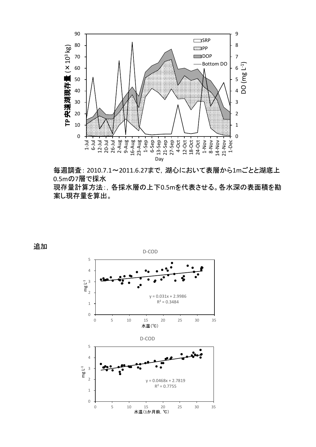

2010.7.1~2011.6.27まで,湖心において表層から1m 0.5mの7<br>但左具記 現存量計算方法:, 各採水層の上下0.5mを代表させる。各水深の表面積を勘 案し現存量を算出。

追加